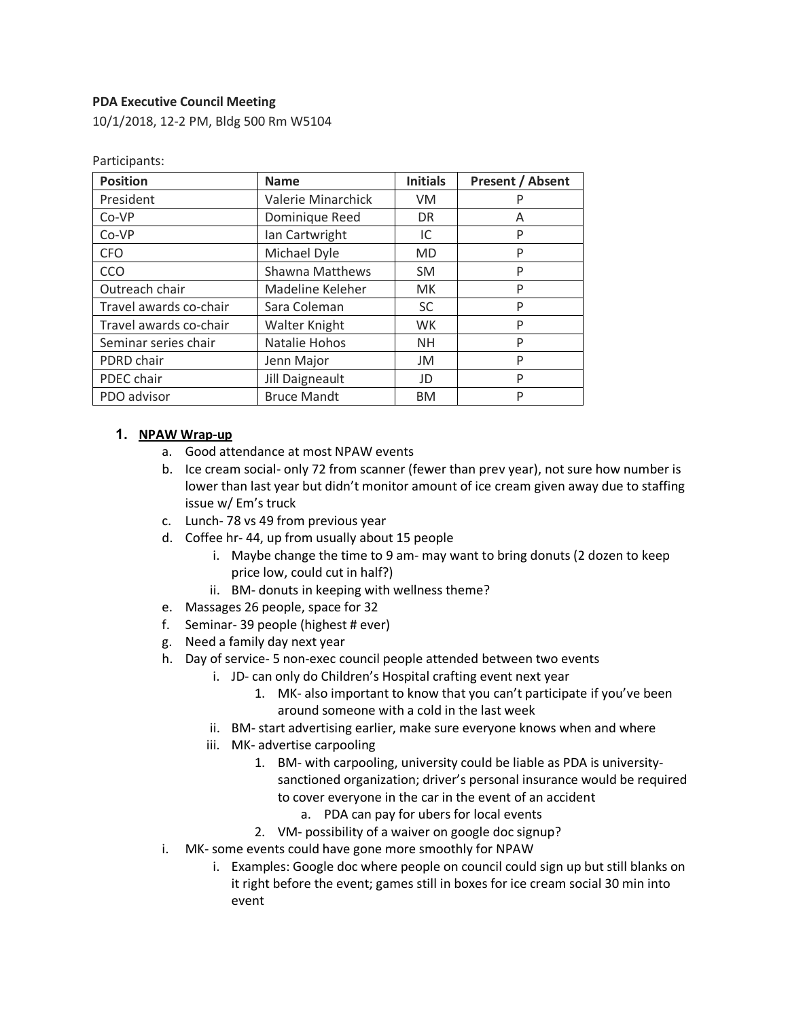#### **PDA Executive Council Meeting**

Participants:

10/1/2018, 12-2 PM, Bldg 500 Rm W5104

| <b>Position</b>        | <b>Name</b>            | <b>Initials</b> | <b>Present / Absent</b> |
|------------------------|------------------------|-----------------|-------------------------|
| President              | Valerie Minarchick     | VM              | P                       |
| Co-VP                  | Dominique Reed         | <b>DR</b>       | A                       |
| Co-VP                  | Ian Cartwright         | IC              | P                       |
| <b>CFO</b>             | Michael Dyle           | <b>MD</b>       | P                       |
| CCO                    | <b>Shawna Matthews</b> | <b>SM</b>       | P                       |
| Outreach chair         | Madeline Keleher       | <b>MK</b>       | P                       |
| Travel awards co-chair | Sara Coleman           | <b>SC</b>       | P                       |
| Travel awards co-chair | Walter Knight          | <b>WK</b>       | P                       |
| Seminar series chair   | Natalie Hohos          | <b>NH</b>       | P                       |
| PDRD chair             | Jenn Major             | JM              | P                       |
| PDEC chair             | Jill Daigneault        | JD              | P                       |
| PDO advisor            | <b>Bruce Mandt</b>     | <b>BM</b>       | P                       |

#### **1. NPAW Wrap-up**

- a. Good attendance at most NPAW events
- b. Ice cream social- only 72 from scanner (fewer than prev year), not sure how number is lower than last year but didn't monitor amount of ice cream given away due to staffing issue w/ Em's truck
- c. Lunch- 78 vs 49 from previous year
- d. Coffee hr- 44, up from usually about 15 people
	- i. Maybe change the time to 9 am- may want to bring donuts (2 dozen to keep price low, could cut in half?)
	- ii. BM- donuts in keeping with wellness theme?
- e. Massages 26 people, space for 32
- f. Seminar- 39 people (highest # ever)
- g. Need a family day next year
- h. Day of service- 5 non-exec council people attended between two events
	- i. JD- can only do Children's Hospital crafting event next year
		- 1. MK- also important to know that you can't participate if you've been around someone with a cold in the last week
	- ii. BM- start advertising earlier, make sure everyone knows when and where
	- iii. MK- advertise carpooling
		- 1. BM- with carpooling, university could be liable as PDA is universitysanctioned organization; driver's personal insurance would be required to cover everyone in the car in the event of an accident
			- a. PDA can pay for ubers for local events
		- 2. VM- possibility of a waiver on google doc signup?
- i. MK- some events could have gone more smoothly for NPAW
	- i. Examples: Google doc where people on council could sign up but still blanks on it right before the event; games still in boxes for ice cream social 30 min into event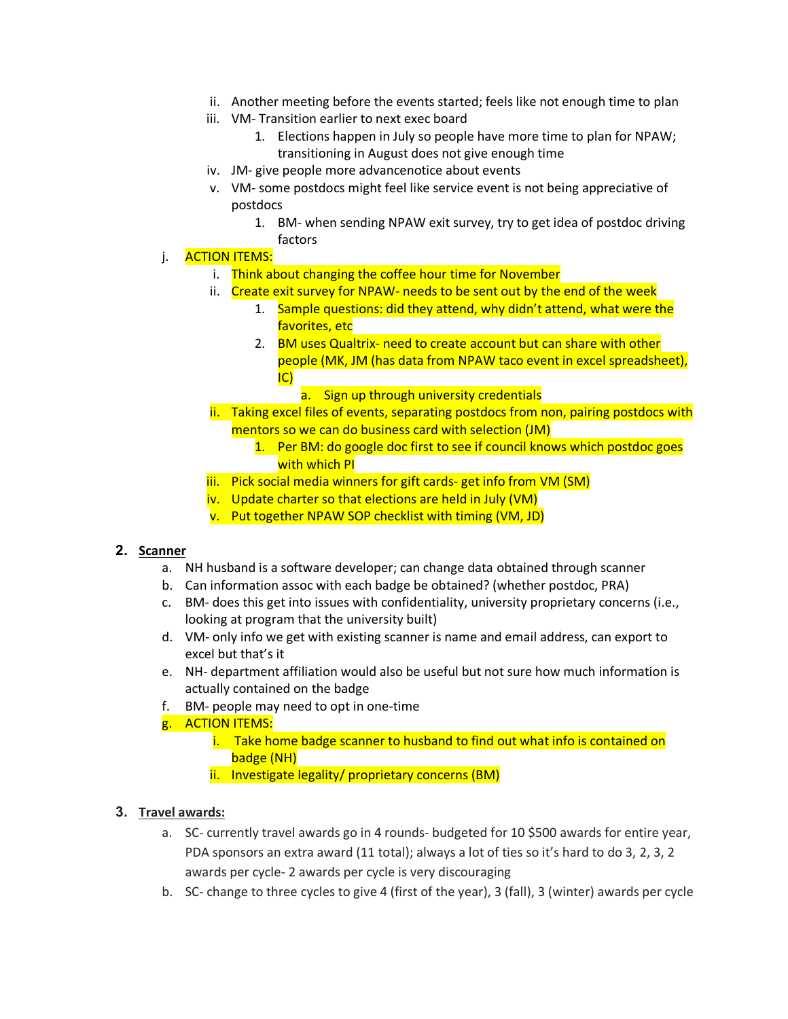- ii. Another meeting before the events started; feels like not enough time to plan
- iii. VM- Transition earlier to next exec board
	- 1. Elections happen in July so people have more time to plan for NPAW; transitioning in August does not give enough time
- iv. JM- give people more advancenotice about events
- v. VM- some postdocs might feel like service event is not being appreciative of postdocs
	- 1. BM- when sending NPAW exit survey, try to get idea of postdoc driving factors
- j. **ACTION ITEMS:** 
	- i. Think about changing the coffee hour time for November
	- ii. Create exit survey for NPAW- needs to be sent out by the end of the week
		- 1. Sample questions: did they attend, why didn't attend, what were the favorites, etc
		- 2. BM uses Qualtrix- need to create account but can share with other people (MK, JM (has data from NPAW taco event in excel spreadsheet), IC)
			- a. Sign up through university credentials
	- ii. Taking excel files of events, separating postdocs from non, pairing postdocs with mentors so we can do business card with selection (JM)
		- 1. Per BM: do google doc first to see if council knows which postdoc goes with which PI
	- iii. Pick social media winners for gift cards- get info from VM (SM)
	- iv. Update charter so that elections are held in July (VM)
	- v. Put together NPAW SOP checklist with timing (VM, JD)

#### **2. Scanner**

- a. NH husband is a software developer; can change data obtained through scanner
- b. Can information assoc with each badge be obtained? (whether postdoc, PRA)
- c. BM- does this get into issues with confidentiality, university proprietary concerns (i.e., looking at program that the university built)
- d. VM- only info we get with existing scanner is name and email address, can export to excel but that's it
- e. NH- department affiliation would also be useful but not sure how much information is actually contained on the badge
- f. BM- people may need to opt in one-time
- g. ACTION ITEMS:
	- i. Take home badge scanner to husband to find out what info is contained on badge (NH)
	- ii. Investigate legality/ proprietary concerns (BM)

### **3. Travel awards:**

- a. SC- currently travel awards go in 4 rounds- budgeted for 10 \$500 awards for entire year, PDA sponsors an extra award (11 total); always a lot of ties so it's hard to do 3, 2, 3, 2 awards per cycle- 2 awards per cycle is very discouraging
- b. SC- change to three cycles to give 4 (first of the year), 3 (fall), 3 (winter) awards per cycle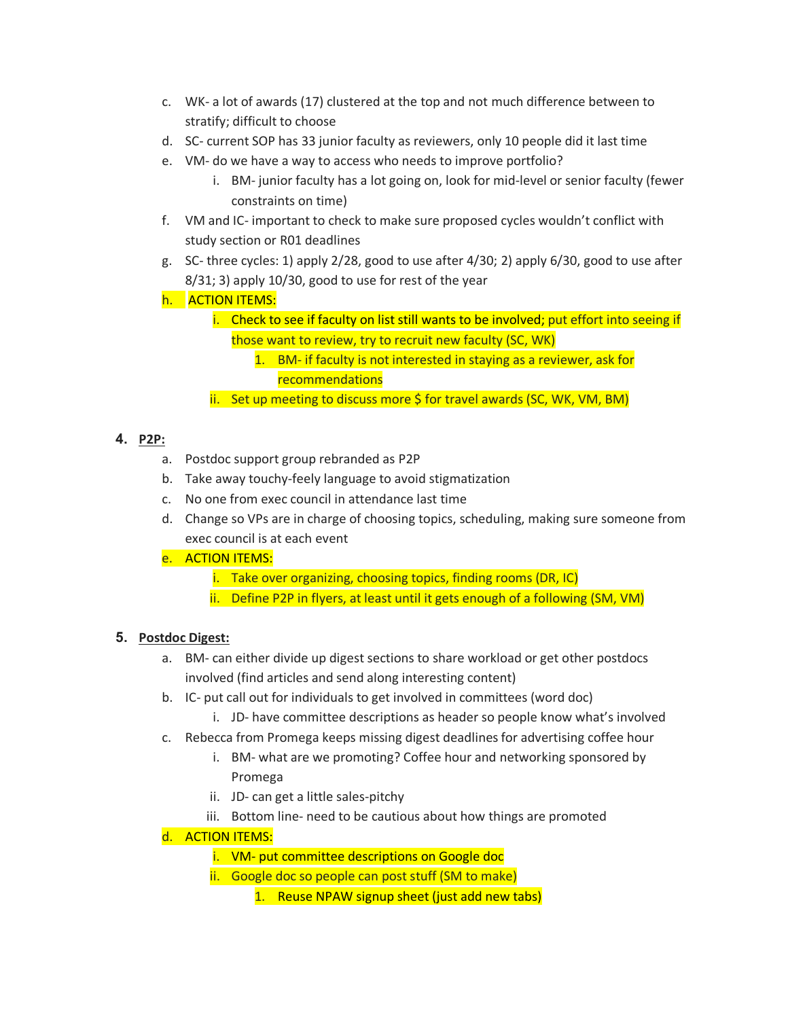- c. WK- a lot of awards (17) clustered at the top and not much difference between to stratify; difficult to choose
- d. SC- current SOP has 33 junior faculty as reviewers, only 10 people did it last time
- e. VM- do we have a way to access who needs to improve portfolio?
	- i. BM- junior faculty has a lot going on, look for mid-level or senior faculty (fewer constraints on time)
- f. VM and IC- important to check to make sure proposed cycles wouldn't conflict with study section or R01 deadlines
- g. SC- three cycles: 1) apply 2/28, good to use after 4/30; 2) apply 6/30, good to use after 8/31; 3) apply 10/30, good to use for rest of the year
- h. **ACTION ITEMS:** 
	- i. Check to see if faculty on list still wants to be involved; put effort into seeing if those want to review, try to recruit new faculty (SC, WK)
		- 1. BM- if faculty is not interested in staying as a reviewer, ask for recommendations
	- ii. Set up meeting to discuss more \$ for travel awards (SC, WK, VM, BM)

# **4. P2P:**

- a. Postdoc support group rebranded as P2P
- b. Take away touchy-feely language to avoid stigmatization
- c. No one from exec council in attendance last time
- d. Change so VPs are in charge of choosing topics, scheduling, making sure someone from exec council is at each event
- e. ACTION ITEMS:
	- i. Take over organizing, choosing topics, finding rooms (DR, IC)
	- ii. Define P2P in flyers, at least until it gets enough of a following (SM, VM)

# **5. Postdoc Digest:**

- a. BM- can either divide up digest sections to share workload or get other postdocs involved (find articles and send along interesting content)
- b. IC- put call out for individuals to get involved in committees (word doc)
	- i. JD- have committee descriptions as header so people know what's involved
- c. Rebecca from Promega keeps missing digest deadlines for advertising coffee hour
	- i. BM- what are we promoting? Coffee hour and networking sponsored by Promega
	- ii. JD- can get a little sales-pitchy
	- iii. Bottom line- need to be cautious about how things are promoted

# d. ACTION ITEMS:

- i. VM- put committee descriptions on Google doc
- ii. Google doc so people can post stuff (SM to make)
	- 1. Reuse NPAW signup sheet (just add new tabs)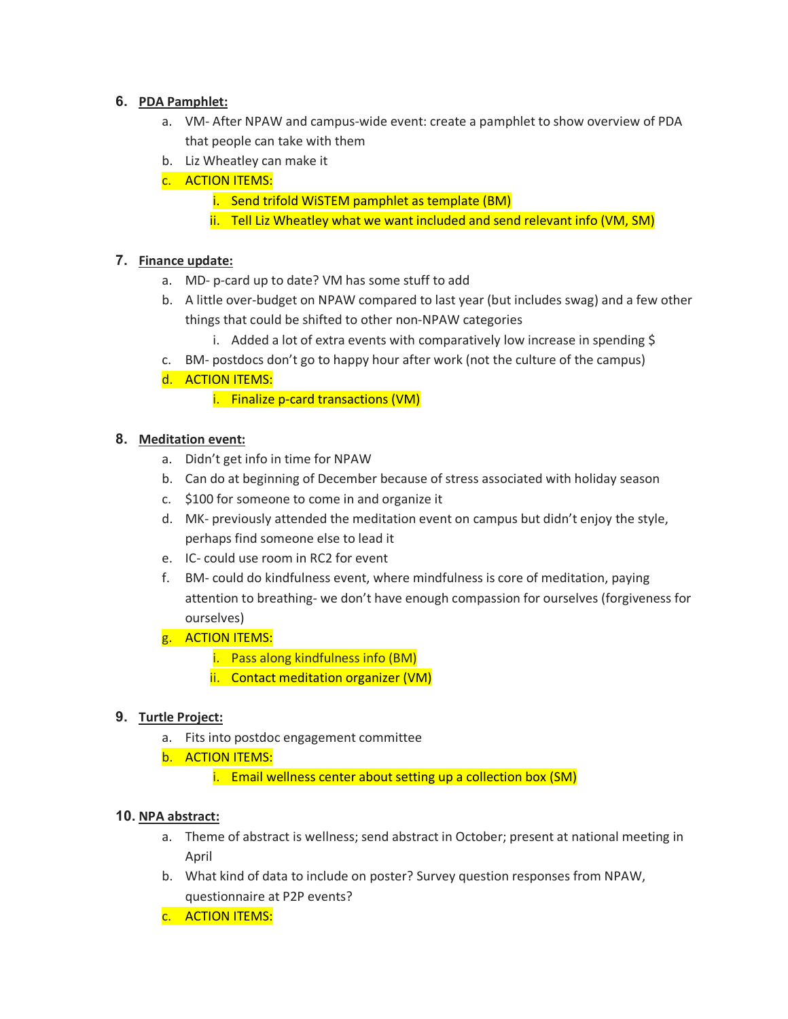### **6. PDA Pamphlet:**

- a. VM- After NPAW and campus-wide event: create a pamphlet to show overview of PDA that people can take with them
- b. Liz Wheatley can make it
- c. ACTION ITEMS:
	- i. Send trifold WiSTEM pamphlet as template (BM)
	- ii. Tell Liz Wheatley what we want included and send relevant info (VM, SM)

### **7. Finance update:**

- a. MD- p-card up to date? VM has some stuff to add
- b. A little over-budget on NPAW compared to last year (but includes swag) and a few other things that could be shifted to other non-NPAW categories
	- i. Added a lot of extra events with comparatively low increase in spending \$
- c. BM- postdocs don't go to happy hour after work (not the culture of the campus)
- d. ACTION ITEMS:

i. Finalize p-card transactions (VM)

### **8. Meditation event:**

- a. Didn't get info in time for NPAW
- b. Can do at beginning of December because of stress associated with holiday season
- c. \$100 for someone to come in and organize it
- d. MK- previously attended the meditation event on campus but didn't enjoy the style, perhaps find someone else to lead it
- e. IC- could use room in RC2 for event
- f. BM- could do kindfulness event, where mindfulness is core of meditation, paying attention to breathing- we don't have enough compassion for ourselves (forgiveness for ourselves)
- g. ACTION ITEMS:
	- i. Pass along kindfulness info (BM)
	- ii. Contact meditation organizer (VM)

## **9. Turtle Project:**

- a. Fits into postdoc engagement committee
- b. ACTION ITEMS:
	- i. Email wellness center about setting up a collection box (SM)

### **10. NPA abstract:**

- a. Theme of abstract is wellness; send abstract in October; present at national meeting in April
- b. What kind of data to include on poster? Survey question responses from NPAW, questionnaire at P2P events?
- c. ACTION ITEMS: